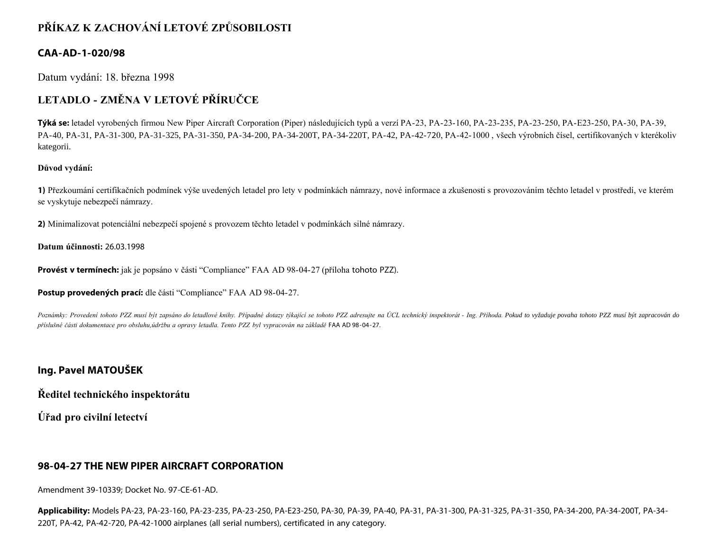# **PŘÍKAZ K ZACHOVÁNÍ LETOVÉ ZPŮSOBILOSTI**

### **CAA-AD-1-020/98**

Datum vydání: 18. března 1998

# **LETADLO - ZMĚNA V LETOVÉ PŘÍRUČCE**

**Týká se:** letadel vyrobených firmou New Piper Aircraft Corporation (Piper) následujících typů a verzí PA-23, PA-23-160, PA-23-235, PA-23-250, PA-E23-250, PA-30, PA-39, PA-40, PA-31, PA-31-300, PA-31-325, PA-31-350, PA-34-200, PA-34-200T, PA-34-220T, PA-42, PA-42-720, PA-42-1000 , všech výrobních čísel, certifikovaných v kterékoliv kategorii.

#### **Důvod vydání:**

**1)** Přezkoumání certifikačních podmínek výše uvedených letadel pro lety v podmínkách námrazy, nové informace a zkušenosti s provozováním těchto letadel v prostředí, ve kterém se vyskytuje nebezpečí námrazy.

**2)** Minimalizovat potenciální nebezpečí spojené s provozem těchto letadel v podmínkách silné námrazy.

#### **Datum účinnosti:** 26.03.1998

**Provést v termínech:** jak je popsáno v části "Compliance" FAA AD 98-04-27 (příloha tohoto PZZ).

**Postup provedených prací:** dle části "Compliance" FAA AD 98-04-27.

Poznámky: Provedení tohoto PZZ musí být zapsáno do letadlové knihy. Případné dotazy týkající se tohoto PZZ adresujte na ÚCL technický inspektorát - Ing. Příhoda. Pokud to vyžaduje povaha tohoto PZZ musí být zapracován do *příslušné části dokumentace pro obsluhu,údržbu a opravy letadla. Tento PZZ byl vypracován na základě* FAA AD 98-04-27.

### **Ing. Pavel MATOUŠEK**

**Ředitel technického inspektorátu**

**Úřad pro civilní letectví**

#### **98-04-27 THE NEW PIPER AIRCRAFT CORPORATION**

Amendment 39-10339; Docket No. 97-CE-61-AD.

**Applicability:** Models PA-23, PA-23-160, PA-23-235, PA-23-250, PA-E23-250, PA-30, PA-39, PA-40, PA-31, PA-31-300, PA-31-325, PA-31-350, PA-34-200, PA-34-200T, PA-34- 220T, PA-42, PA-42-720, PA-42-1000 airplanes (all serial numbers), certificated in any category.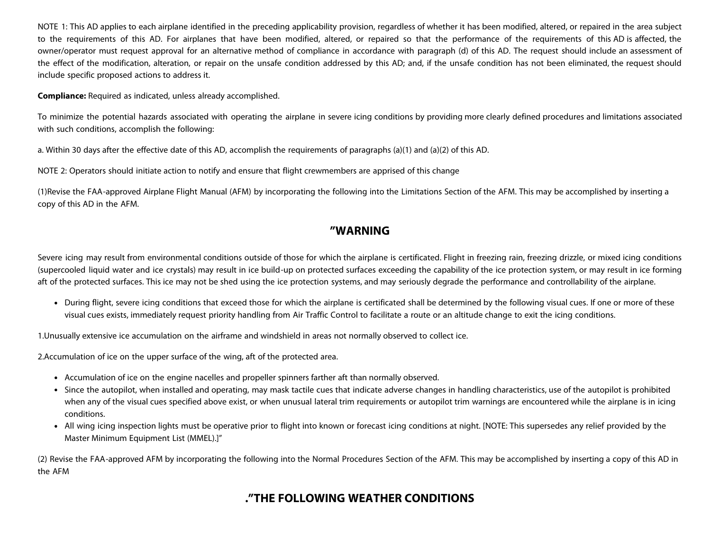NOTE 1: This AD applies to each airplane identified in the preceding applicability provision, regardless of whether it has been modified, altered, or repaired in the area subject to the requirements of this AD. For airplanes that have been modified, altered, or repaired so that the performance of the requirements of this AD is affected, the owner/operator must request approval for an alternative method of compliance in accordance with paragraph (d) of this AD. The request should include an assessment of the effect of the modification, alteration, or repair on the unsafe condition addressed by this AD; and, if the unsafe condition has not been eliminated, the request should include specific proposed actions to address it.

**Compliance:** Required as indicated, unless already accomplished.

To minimize the potential hazards associated with operating the airplane in severe icing conditions by providing more clearly defined procedures and limitations associated with such conditions, accomplish the following:

a. Within 30 days after the effective date of this AD, accomplish the requirements of paragraphs (a)(1) and (a)(2) of this AD.

NOTE 2: Operators should initiate action to notify and ensure that flight crewmembers are apprised of this change

(1)Revise the FAA-approved Airplane Flight Manual (AFM) by incorporating the following into the Limitations Section of the AFM. This may be accomplished by inserting a copy of this AD in the AFM.

## **"WARNING**

Severe icing may result from environmental conditions outside of those for which the airplane is certificated. Flight in freezing rain, freezing drizzle, or mixed icing conditions (supercooled liquid water and ice crystals) may result in ice build-up on protected surfaces exceeding the capability of the ice protection system, or may result in ice forming aft of the protected surfaces. This ice may not be shed using the ice protection systems, and may seriously degrade the performance and controllability of the airplane.

During flight, severe icing conditions that exceed those for which the airplane is certificated shall be determined by the following visual cues. If one or more of these visual cues exists, immediately request priority handling from Air Traffic Control to facilitate a route or an altitude change to exit the icing conditions.

1.Unusually extensive ice accumulation on the airframe and windshield in areas not normally observed to collect ice.

2.Accumulation of ice on the upper surface of the wing, aft of the protected area.

- Accumulation of ice on the engine nacelles and propeller spinners farther aft than normally observed.
- Since the autopilot, when installed and operating, may mask tactile cues that indicate adverse changes in handling characteristics, use of the autopilot is prohibited when any of the visual cues specified above exist, or when unusual lateral trim requirements or autopilot trim warnings are encountered while the airplane is in icing conditions.
- All wing icing inspection lights must be operative prior to flight into known or forecast icing conditions at night. [NOTE: This supersedes any relief provided by the Master Minimum Equipment List (MMEL).]"

(2) Revise the FAA-approved AFM by incorporating the following into the Normal Procedures Section of the AFM. This may be accomplished by inserting a copy of this AD in the AFM

# **."THE FOLLOWING WEATHER CONDITIONS**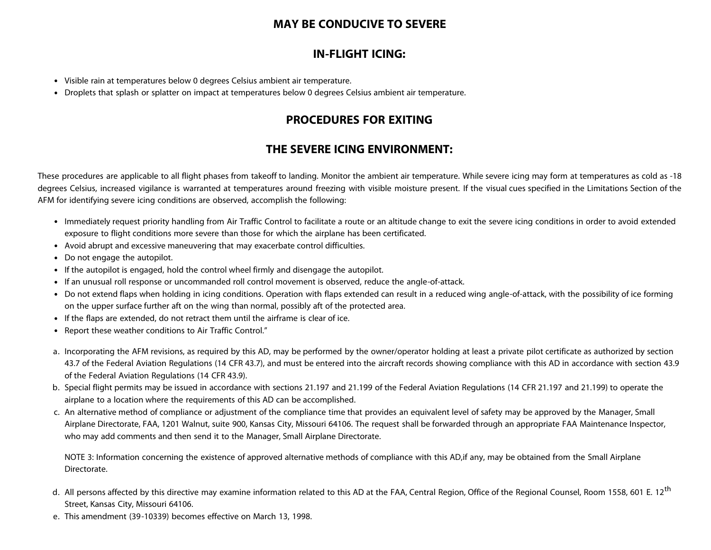## **MAY BE CONDUCIVE TO SEVERE**

## **IN-FLIGHT ICING:**

- Visible rain at temperatures below 0 degrees Celsius ambient air temperature.
- Droplets that splash or splatter on impact at temperatures below 0 degrees Celsius ambient air temperature.

## **PROCEDURES FOR EXITING**

# **THE SEVERE ICING ENVIRONMENT:**

These procedures are applicable to all flight phases from takeoff to landing. Monitor the ambient air temperature. While severe icing may form at temperatures as cold as -18 degrees Celsius, increased vigilance is warranted at temperatures around freezing with visible moisture present. If the visual cues specified in the Limitations Section of the AFM for identifying severe icing conditions are observed, accomplish the following:

- Immediately request priority handling from Air Traffic Control to facilitate a route or an altitude change to exit the severe icing conditions in order to avoid extended exposure to flight conditions more severe than those for which the airplane has been certificated.
- Avoid abrupt and excessive maneuvering that may exacerbate control difficulties.
- Do not engage the autopilot.
- If the autopilot is engaged, hold the control wheel firmly and disengage the autopilot.
- If an unusual roll response or uncommanded roll control movement is observed, reduce the angle-of-attack.
- Do not extend flaps when holding in icing conditions. Operation with flaps extended can result in a reduced wing angle-of-attack, with the possibility of ice forming on the upper surface further aft on the wing than normal, possibly aft of the protected area.
- If the flaps are extended, do not retract them until the airframe is clear of ice.
- Report these weather conditions to Air Traffic Control."
- a. Incorporating the AFM revisions, as required by this AD, may be performed by the owner/operator holding at least a private pilot certificate as authorized by section 43.7 of the Federal Aviation Regulations (14 CFR 43.7), and must be entered into the aircraft records showing compliance with this AD in accordance with section 43.9 of the Federal Aviation Regulations (14 CFR 43.9).
- b. Special flight permits may be issued in accordance with sections 21.197 and 21.199 of the Federal Aviation Regulations (14 CFR 21.197 and 21.199) to operate the airplane to a location where the requirements of this AD can be accomplished.
- c. An alternative method of compliance or adjustment of the compliance time that provides an equivalent level of safety may be approved by the Manager, Small Airplane Directorate, FAA, 1201 Walnut, suite 900, Kansas City, Missouri 64106. The request shall be forwarded through an appropriate FAA Maintenance Inspector, who may add comments and then send it to the Manager, Small Airplane Directorate.

NOTE 3: Information concerning the existence of approved alternative methods of compliance with this AD, if any, may be obtained from the Small Airplane Directorate.

- d. All persons affected by this directive may examine information related to this AD at the FAA, Central Region, Office of the Regional Counsel, Room 1558, 601 E. 12<sup>th</sup> Street, Kansas City, Missouri 64106.
- e. This amendment (39-10339) becomes effective on March 13, 1998.